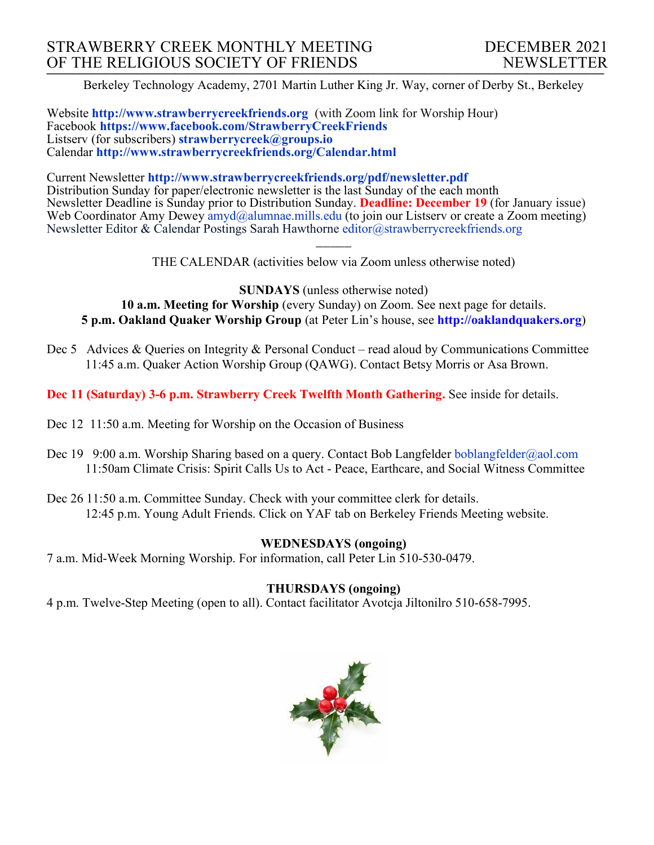Berkeley Technology Academy, 2701 Martin Luther King Jr. Way, corner of Derby St., Berkeley

Website **http://www.strawberrycreekfriends.org** (with Zoom link for Worship Hour) Facebook **https://www.facebook.com/StrawberryCreekFriends** Listserv (for subscribers) **strawberrycreek@groups.io** Calendar **http://www.strawberrycreekfriends.org/Calendar.html**

Current Newsletter **http://www.strawberrycreekfriends.org/pdf/newsletter.pdf** Distribution Sunday for paper/electronic newsletter is the last Sunday of the each month Newsletter Deadline is Sunday prior to Distribution Sunday. **Deadline: December 19** (for January issue) Web Coordinator Amy Dewey  $\frac{am\ddot{a}}{am\ddot{a}}$ alumnae.mills.edu (to join our Listserv or create a Zoom meeting) Newsletter Editor & Calendar Postings Sarah Hawthorne editor@strawberrycreekfriends.org

> $\overline{\phantom{a}}$ THE CALENDAR (activities below via Zoom unless otherwise noted)

**SUNDAYS** (unless otherwise noted) **10 a.m. Meeting for Worship** (every Sunday) on Zoom. See next page for details. **5 p.m. Oakland Quaker Worship Group** (at Peter Lin's house, see **http://oaklandquakers.org**)

Dec 5 Advices & Queries on Integrity & Personal Conduct – read aloud by Communications Committee 11:45 a.m. Quaker Action Worship Group (QAWG). Contact Betsy Morris or Asa Brown.

**Dec 11 (Saturday) 3-6 p.m. Strawberry Creek Twelfth Month Gathering.** See inside for details.

- Dec 12 11:50 a.m. Meeting for Worship on the Occasion of Business
- Dec 19 9:00 a.m. Worship Sharing based on a query. Contact Bob Langfelder boblangfelder@aol.com 11:50am Climate Crisis: Spirit Calls Us to Act - Peace, Earthcare, and Social Witness Committee
- Dec 26 11:50 a.m. Committee Sunday. Check with your committee clerk for details. 12:45 p.m. Young Adult Friends. Click on YAF tab on Berkeley Friends Meeting website.

# **WEDNESDAYS (ongoing)**

7 a.m. Mid-Week Morning Worship. For information, call Peter Lin 510-530-0479.

# **THURSDAYS (ongoing)**

4 p.m. Twelve-Step Meeting (open to all). Contact facilitator Avotcja Jiltonilro 510-658-7995.

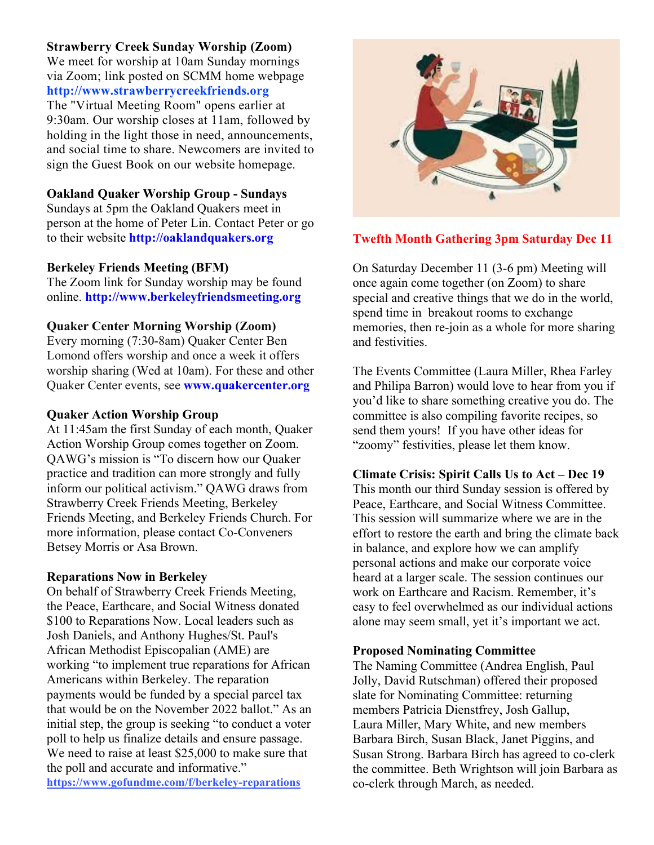# **Strawberry Creek Sunday Worship (Zoom)**

We meet for worship at 10am Sunday mornings via Zoom; link posted on SCMM home webpage **http://www.strawberrycreekfriends.org** The "Virtual Meeting Room" opens earlier at 9:30am. Our worship closes at 11am, followed by holding in the light those in need, announcements, and social time to share. Newcomers are invited to sign the Guest Book on our website homepage.

### **Oakland Quaker Worship Group - Sundays**

Sundays at 5pm the Oakland Quakers meet in person at the home of Peter Lin. Contact Peter or go to their website **http://oaklandquakers.org**

### **Berkeley Friends Meeting (BFM)**

The Zoom link for Sunday worship may be found online. **http://www.berkeleyfriendsmeeting.org**

### **Quaker Center Morning Worship (Zoom)**

Every morning (7:30-8am) Quaker Center Ben Lomond offers worship and once a week it offers worship sharing (Wed at 10am). For these and other Quaker Center events, see **www.quakercenter.org**

### **Quaker Action Worship Group**

At 11:45am the first Sunday of each month, Quaker Action Worship Group comes together on Zoom. QAWG's mission is "To discern how our Quaker practice and tradition can more strongly and fully inform our political activism." QAWG draws from Strawberry Creek Friends Meeting, Berkeley Friends Meeting, and Berkeley Friends Church. For more information, please contact Co-Conveners Betsey Morris or Asa Brown.

### **Reparations Now in Berkeley**

On behalf of Strawberry Creek Friends Meeting, the Peace, Earthcare, and Social Witness donated \$100 to Reparations Now. Local leaders such as Josh Daniels, and Anthony Hughes/St. Paul's African Methodist Episcopalian (AME) are working "to implement true reparations for African Americans within Berkeley. The reparation payments would be funded by a special parcel tax that would be on the November 2022 ballot." As an initial step, the group is seeking "to conduct a voter poll to help us finalize details and ensure passage. We need to raise at least \$25,000 to make sure that the poll and accurate and informative." **https://www.gofundme.com/f/berkeley-reparations**



### **Twefth Month Gathering 3pm Saturday Dec 11**

On Saturday December 11 (3-6 pm) Meeting will once again come together (on Zoom) to share special and creative things that we do in the world, spend time in breakout rooms to exchange memories, then re-join as a whole for more sharing and festivities.

The Events Committee (Laura Miller, Rhea Farley and Philipa Barron) would love to hear from you if you'd like to share something creative you do. The committee is also compiling favorite recipes, so send them yours! If you have other ideas for "zoomy" festivities, please let them know.

#### **Climate Crisis: Spirit Calls Us to Act – Dec 19**

This month our third Sunday session is offered by Peace, Earthcare, and Social Witness Committee. This session will summarize where we are in the effort to restore the earth and bring the climate back in balance, and explore how we can amplify personal actions and make our corporate voice heard at a larger scale. The session continues our work on Earthcare and Racism. Remember, it's easy to feel overwhelmed as our individual actions alone may seem small, yet it's important we act.

### **Proposed Nominating Committee**

The Naming Committee (Andrea English, Paul Jolly, David Rutschman) offered their proposed slate for Nominating Committee: returning members Patricia Dienstfrey, Josh Gallup, Laura Miller, Mary White, and new members Barbara Birch, Susan Black, Janet Piggins, and Susan Strong. Barbara Birch has agreed to co-clerk the committee. Beth Wrightson will join Barbara as co-clerk through March, as needed.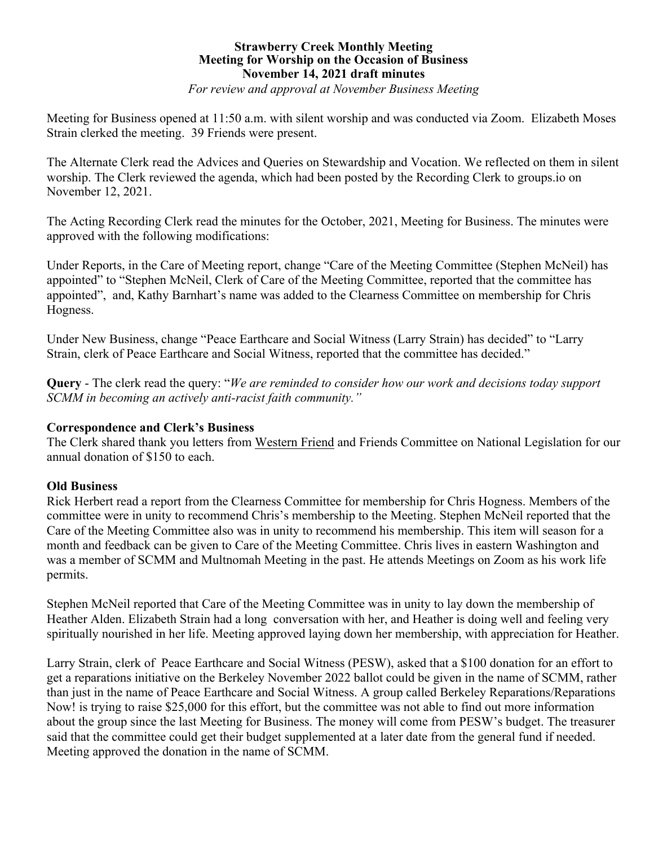### **Strawberry Creek Monthly Meeting Meeting for Worship on the Occasion of Business November 14, 2021 draft minutes** *For review and approval at November Business Meeting*

Meeting for Business opened at 11:50 a.m. with silent worship and was conducted via Zoom. Elizabeth Moses Strain clerked the meeting. 39 Friends were present.

The Alternate Clerk read the Advices and Queries on Stewardship and Vocation. We reflected on them in silent worship. The Clerk reviewed the agenda, which had been posted by the Recording Clerk to groups.io on November 12, 2021.

The Acting Recording Clerk read the minutes for the October, 2021, Meeting for Business. The minutes were approved with the following modifications:

Under Reports, in the Care of Meeting report, change "Care of the Meeting Committee (Stephen McNeil) has appointed" to "Stephen McNeil, Clerk of Care of the Meeting Committee, reported that the committee has appointed", and, Kathy Barnhart's name was added to the Clearness Committee on membership for Chris Hogness.

Under New Business, change "Peace Earthcare and Social Witness (Larry Strain) has decided" to "Larry Strain, clerk of Peace Earthcare and Social Witness, reported that the committee has decided."

**Query** - The clerk read the query: "*We are reminded to consider how our work and decisions today support SCMM in becoming an actively anti-racist faith community."*

# **Correspondence and Clerk's Business**

The Clerk shared thank you letters from Western Friend and Friends Committee on National Legislation for our annual donation of \$150 to each.

# **Old Business**

Rick Herbert read a report from the Clearness Committee for membership for Chris Hogness. Members of the committee were in unity to recommend Chris's membership to the Meeting. Stephen McNeil reported that the Care of the Meeting Committee also was in unity to recommend his membership. This item will season for a month and feedback can be given to Care of the Meeting Committee. Chris lives in eastern Washington and was a member of SCMM and Multnomah Meeting in the past. He attends Meetings on Zoom as his work life permits.

Stephen McNeil reported that Care of the Meeting Committee was in unity to lay down the membership of Heather Alden. Elizabeth Strain had a long conversation with her, and Heather is doing well and feeling very spiritually nourished in her life. Meeting approved laying down her membership, with appreciation for Heather.

Larry Strain, clerk of Peace Earthcare and Social Witness (PESW), asked that a \$100 donation for an effort to get a reparations initiative on the Berkeley November 2022 ballot could be given in the name of SCMM, rather than just in the name of Peace Earthcare and Social Witness. A group called Berkeley Reparations/Reparations Now! is trying to raise \$25,000 for this effort, but the committee was not able to find out more information about the group since the last Meeting for Business. The money will come from PESW's budget. The treasurer said that the committee could get their budget supplemented at a later date from the general fund if needed. Meeting approved the donation in the name of SCMM.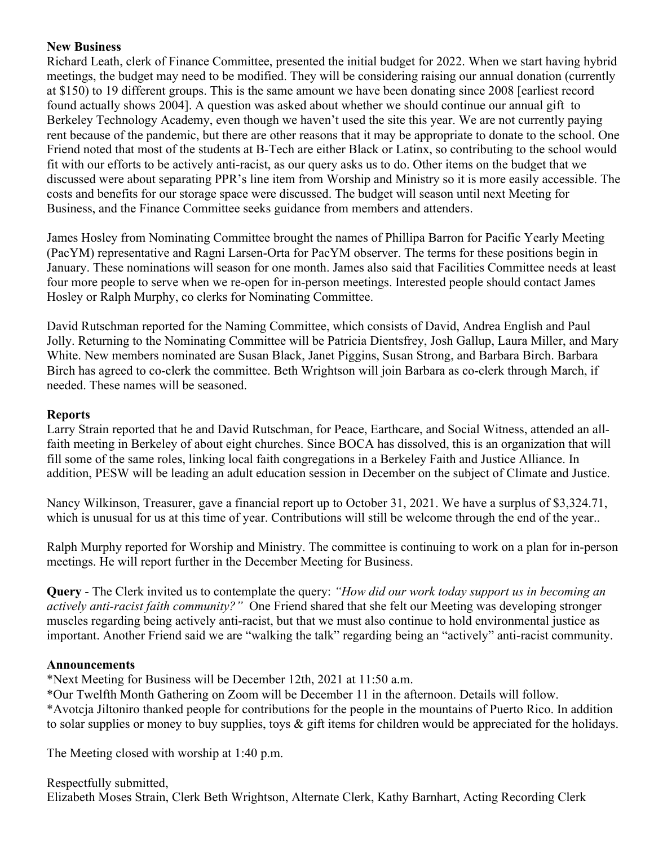# **New Business**

Richard Leath, clerk of Finance Committee, presented the initial budget for 2022. When we start having hybrid meetings, the budget may need to be modified. They will be considering raising our annual donation (currently at \$150) to 19 different groups. This is the same amount we have been donating since 2008 [earliest record found actually shows 2004]. A question was asked about whether we should continue our annual gift to Berkeley Technology Academy, even though we haven't used the site this year. We are not currently paying rent because of the pandemic, but there are other reasons that it may be appropriate to donate to the school. One Friend noted that most of the students at B-Tech are either Black or Latinx, so contributing to the school would fit with our efforts to be actively anti-racist, as our query asks us to do. Other items on the budget that we discussed were about separating PPR's line item from Worship and Ministry so it is more easily accessible. The costs and benefits for our storage space were discussed. The budget will season until next Meeting for Business, and the Finance Committee seeks guidance from members and attenders.

James Hosley from Nominating Committee brought the names of Phillipa Barron for Pacific Yearly Meeting (PacYM) representative and Ragni Larsen-Orta for PacYM observer. The terms for these positions begin in January. These nominations will season for one month. James also said that Facilities Committee needs at least four more people to serve when we re-open for in-person meetings. Interested people should contact James Hosley or Ralph Murphy, co clerks for Nominating Committee.

David Rutschman reported for the Naming Committee, which consists of David, Andrea English and Paul Jolly. Returning to the Nominating Committee will be Patricia Dientsfrey, Josh Gallup, Laura Miller, and Mary White. New members nominated are Susan Black, Janet Piggins, Susan Strong, and Barbara Birch. Barbara Birch has agreed to co-clerk the committee. Beth Wrightson will join Barbara as co-clerk through March, if needed. These names will be seasoned.

# **Reports**

Larry Strain reported that he and David Rutschman, for Peace, Earthcare, and Social Witness, attended an allfaith meeting in Berkeley of about eight churches. Since BOCA has dissolved, this is an organization that will fill some of the same roles, linking local faith congregations in a Berkeley Faith and Justice Alliance. In addition, PESW will be leading an adult education session in December on the subject of Climate and Justice.

Nancy Wilkinson, Treasurer, gave a financial report up to October 31, 2021. We have a surplus of \$3,324.71, which is unusual for us at this time of year. Contributions will still be welcome through the end of the year..

Ralph Murphy reported for Worship and Ministry. The committee is continuing to work on a plan for in-person meetings. He will report further in the December Meeting for Business.

**Query** - The Clerk invited us to contemplate the query: *"How did our work today support us in becoming an actively anti-racist faith community?"* One Friend shared that she felt our Meeting was developing stronger muscles regarding being actively anti-racist, but that we must also continue to hold environmental justice as important. Another Friend said we are "walking the talk" regarding being an "actively" anti-racist community.

# **Announcements**

\*Next Meeting for Business will be December 12th, 2021 at 11:50 a.m.

\*Our Twelfth Month Gathering on Zoom will be December 11 in the afternoon. Details will follow. \*Avotcja Jiltoniro thanked people for contributions for the people in the mountains of Puerto Rico. In addition to solar supplies or money to buy supplies, toys & gift items for children would be appreciated for the holidays.

The Meeting closed with worship at 1:40 p.m.

Respectfully submitted, Elizabeth Moses Strain, Clerk Beth Wrightson, Alternate Clerk, Kathy Barnhart, Acting Recording Clerk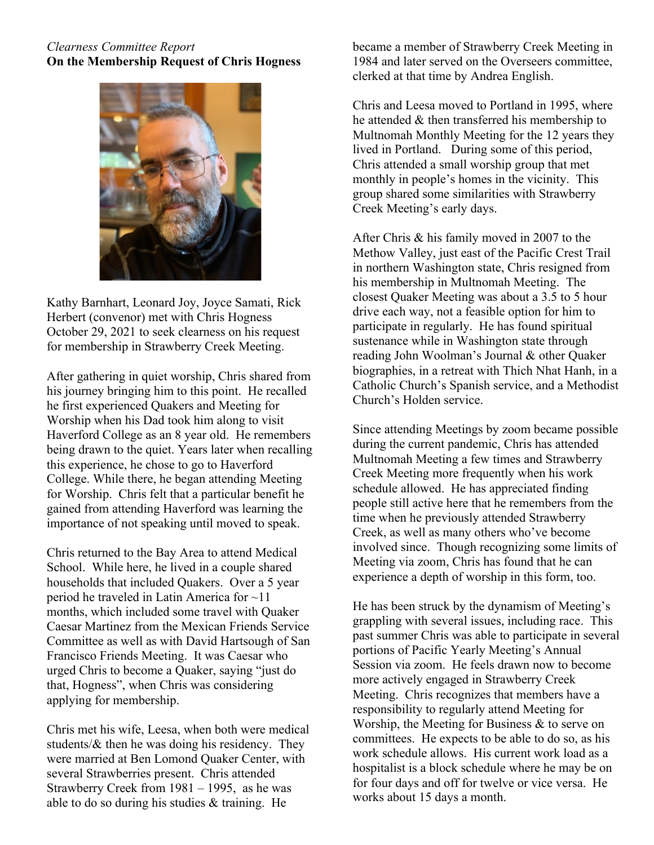# *Clearness Committee Report* **On the Membership Request of Chris Hogness**



Kathy Barnhart, Leonard Joy, Joyce Samati, Rick Herbert (convenor) met with Chris Hogness October 29, 2021 to seek clearness on his request for membership in Strawberry Creek Meeting.

After gathering in quiet worship, Chris shared from his journey bringing him to this point. He recalled he first experienced Quakers and Meeting for Worship when his Dad took him along to visit Haverford College as an 8 year old. He remembers being drawn to the quiet. Years later when recalling this experience, he chose to go to Haverford College. While there, he began attending Meeting for Worship. Chris felt that a particular benefit he gained from attending Haverford was learning the importance of not speaking until moved to speak.

Chris returned to the Bay Area to attend Medical School. While here, he lived in a couple shared households that included Quakers. Over a 5 year period he traveled in Latin America for ~11 months, which included some travel with Quaker Caesar Martinez from the Mexican Friends Service Committee as well as with David Hartsough of San Francisco Friends Meeting. It was Caesar who urged Chris to become a Quaker, saying "just do that, Hogness", when Chris was considering applying for membership.

Chris met his wife, Leesa, when both were medical students/ $\&$  then he was doing his residency. They were married at Ben Lomond Quaker Center, with several Strawberries present. Chris attended Strawberry Creek from  $1981 - 1995$ , as he was able to do so during his studies & training. He

became a member of Strawberry Creek Meeting in 1984 and later served on the Overseers committee, clerked at that time by Andrea English.

Chris and Leesa moved to Portland in 1995, where he attended & then transferred his membership to Multnomah Monthly Meeting for the 12 years they lived in Portland. During some of this period, Chris attended a small worship group that met monthly in people's homes in the vicinity. This group shared some similarities with Strawberry Creek Meeting's early days.

After Chris & his family moved in 2007 to the Methow Valley, just east of the Pacific Crest Trail in northern Washington state, Chris resigned from his membership in Multnomah Meeting. The closest Quaker Meeting was about a 3.5 to 5 hour drive each way, not a feasible option for him to participate in regularly. He has found spiritual sustenance while in Washington state through reading John Woolman's Journal & other Quaker biographies, in a retreat with Thich Nhat Hanh, in a Catholic Church's Spanish service, and a Methodist Church's Holden service.

Since attending Meetings by zoom became possible during the current pandemic, Chris has attended Multnomah Meeting a few times and Strawberry Creek Meeting more frequently when his work schedule allowed. He has appreciated finding people still active here that he remembers from the time when he previously attended Strawberry Creek, as well as many others who've become involved since. Though recognizing some limits of Meeting via zoom, Chris has found that he can experience a depth of worship in this form, too.

He has been struck by the dynamism of Meeting's grappling with several issues, including race. This past summer Chris was able to participate in several portions of Pacific Yearly Meeting's Annual Session via zoom. He feels drawn now to become more actively engaged in Strawberry Creek Meeting. Chris recognizes that members have a responsibility to regularly attend Meeting for Worship, the Meeting for Business & to serve on committees. He expects to be able to do so, as his work schedule allows. His current work load as a hospitalist is a block schedule where he may be on for four days and off for twelve or vice versa. He works about 15 days a month.